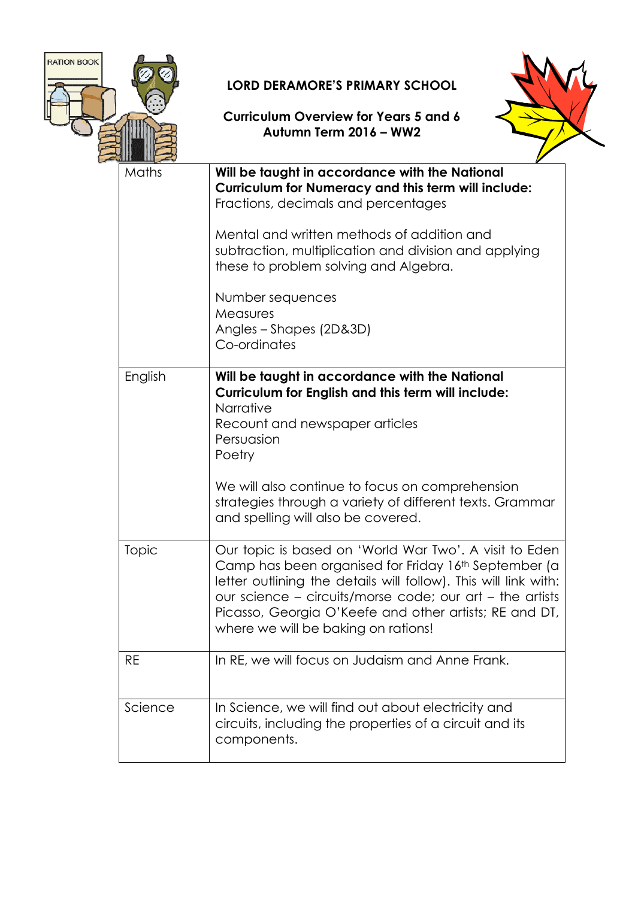

## LORD DERAMORE'S PRIMARY SCHOOL

## Curriculum Overview for Years 5 and 6 Autumn Term 2016 – WW2



| 2111<br>ाप |                                                                                                                                                                                                                                                                                                                                                |
|------------|------------------------------------------------------------------------------------------------------------------------------------------------------------------------------------------------------------------------------------------------------------------------------------------------------------------------------------------------|
| Maths      | Will be taught in accordance with the National<br><b>Curriculum for Numeracy and this term will include:</b><br>Fractions, decimals and percentages                                                                                                                                                                                            |
|            | Mental and written methods of addition and<br>subtraction, multiplication and division and applying<br>these to problem solving and Algebra.                                                                                                                                                                                                   |
|            | Number sequences<br>Measures<br>Angles - Shapes (2D&3D)<br>Co-ordinates                                                                                                                                                                                                                                                                        |
| English    | Will be taught in accordance with the National<br>Curriculum for English and this term will include:                                                                                                                                                                                                                                           |
|            | Narrative<br>Recount and newspaper articles<br>Persuasion<br>Poetry                                                                                                                                                                                                                                                                            |
|            | We will also continue to focus on comprehension<br>strategies through a variety of different texts. Grammar<br>and spelling will also be covered.                                                                                                                                                                                              |
| Topic      | Our topic is based on 'World War Two'. A visit to Eden<br>Camp has been organised for Friday 16th September (a<br>letter outlining the details will follow). This will link with:<br>our science – circuits/morse code; our art – the artists<br>Picasso, Georgia O'Keefe and other artists; RE and DT,<br>where we will be baking on rations! |
| <b>RE</b>  | In RE, we will focus on Judaism and Anne Frank.                                                                                                                                                                                                                                                                                                |
| Science    | In Science, we will find out about electricity and<br>circuits, including the properties of a circuit and its<br>components.                                                                                                                                                                                                                   |